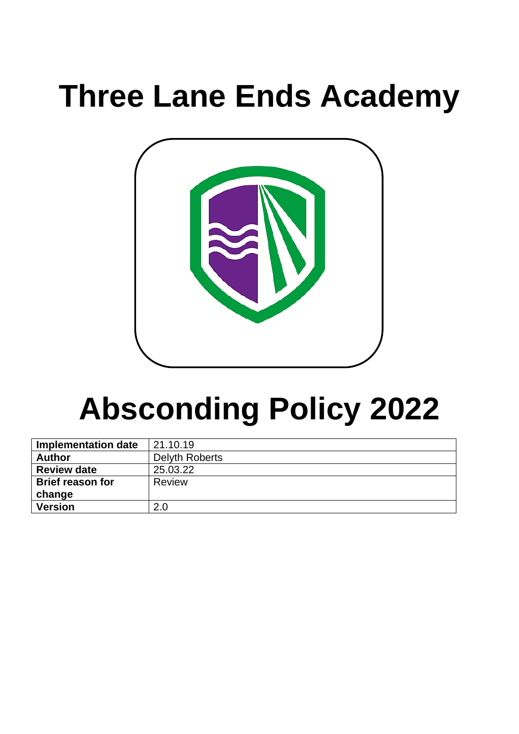# **Three Lane Ends Academy**



# **Absconding Policy 2022**

| <b>Implementation date</b> | 21.10.19              |
|----------------------------|-----------------------|
| <b>Author</b>              | <b>Delyth Roberts</b> |
| <b>Review date</b>         | 25.03.22              |
| <b>Brief reason for</b>    | Review                |
| change                     |                       |
| <b>Version</b>             | 2.0                   |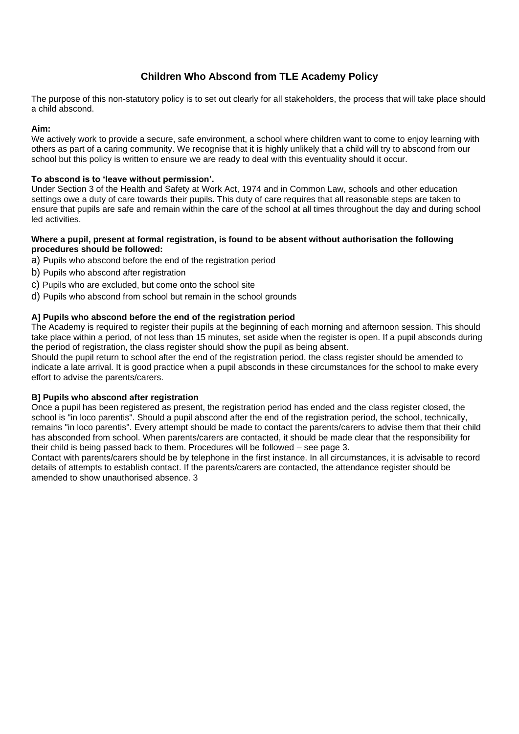# **Children Who Abscond from TLE Academy Policy**

The purpose of this non-statutory policy is to set out clearly for all stakeholders, the process that will take place should a child abscond.

# **Aim:**

We actively work to provide a secure, safe environment, a school where children want to come to enjoy learning with others as part of a caring community. We recognise that it is highly unlikely that a child will try to abscond from our school but this policy is written to ensure we are ready to deal with this eventuality should it occur.

# **To abscond is to 'leave without permission'.**

Under Section 3 of the Health and Safety at Work Act, 1974 and in Common Law, schools and other education settings owe a duty of care towards their pupils. This duty of care requires that all reasonable steps are taken to ensure that pupils are safe and remain within the care of the school at all times throughout the day and during school led activities.

#### **Where a pupil, present at formal registration, is found to be absent without authorisation the following procedures should be followed:**

- a) Pupils who abscond before the end of the registration period
- b) Pupils who abscond after registration
- c) Pupils who are excluded, but come onto the school site
- d) Pupils who abscond from school but remain in the school grounds

# **A] Pupils who abscond before the end of the registration period**

The Academy is required to register their pupils at the beginning of each morning and afternoon session. This should take place within a period, of not less than 15 minutes, set aside when the register is open. If a pupil absconds during the period of registration, the class register should show the pupil as being absent.

Should the pupil return to school after the end of the registration period, the class register should be amended to indicate a late arrival. It is good practice when a pupil absconds in these circumstances for the school to make every effort to advise the parents/carers.

#### **B] Pupils who abscond after registration**

Once a pupil has been registered as present, the registration period has ended and the class register closed, the school is "in loco parentis". Should a pupil abscond after the end of the registration period, the school, technically, remains "in loco parentis". Every attempt should be made to contact the parents/carers to advise them that their child has absconded from school. When parents/carers are contacted, it should be made clear that the responsibility for their child is being passed back to them. Procedures will be followed – see page 3.

Contact with parents/carers should be by telephone in the first instance. In all circumstances, it is advisable to record details of attempts to establish contact. If the parents/carers are contacted, the attendance register should be amended to show unauthorised absence. 3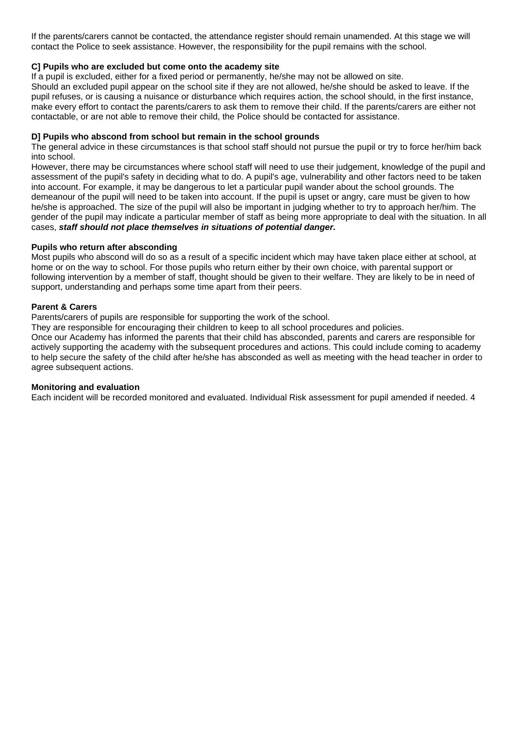If the parents/carers cannot be contacted, the attendance register should remain unamended. At this stage we will contact the Police to seek assistance. However, the responsibility for the pupil remains with the school.

# **C] Pupils who are excluded but come onto the academy site**

If a pupil is excluded, either for a fixed period or permanently, he/she may not be allowed on site.

Should an excluded pupil appear on the school site if they are not allowed, he/she should be asked to leave. If the pupil refuses, or is causing a nuisance or disturbance which requires action, the school should, in the first instance, make every effort to contact the parents/carers to ask them to remove their child. If the parents/carers are either not contactable, or are not able to remove their child, the Police should be contacted for assistance.

#### **D] Pupils who abscond from school but remain in the school grounds**

The general advice in these circumstances is that school staff should not pursue the pupil or try to force her/him back into school.

However, there may be circumstances where school staff will need to use their judgement, knowledge of the pupil and assessment of the pupil's safety in deciding what to do. A pupil's age, vulnerability and other factors need to be taken into account. For example, it may be dangerous to let a particular pupil wander about the school grounds. The demeanour of the pupil will need to be taken into account. If the pupil is upset or angry, care must be given to how he/she is approached. The size of the pupil will also be important in judging whether to try to approach her/him. The gender of the pupil may indicate a particular member of staff as being more appropriate to deal with the situation. In all cases, *staff should not place themselves in situations of potential danger.* 

#### **Pupils who return after absconding**

Most pupils who abscond will do so as a result of a specific incident which may have taken place either at school, at home or on the way to school. For those pupils who return either by their own choice, with parental support or following intervention by a member of staff, thought should be given to their welfare. They are likely to be in need of support, understanding and perhaps some time apart from their peers.

## **Parent & Carers**

Parents/carers of pupils are responsible for supporting the work of the school.

They are responsible for encouraging their children to keep to all school procedures and policies.

Once our Academy has informed the parents that their child has absconded, parents and carers are responsible for actively supporting the academy with the subsequent procedures and actions. This could include coming to academy to help secure the safety of the child after he/she has absconded as well as meeting with the head teacher in order to agree subsequent actions.

#### **Monitoring and evaluation**

Each incident will be recorded monitored and evaluated. Individual Risk assessment for pupil amended if needed. 4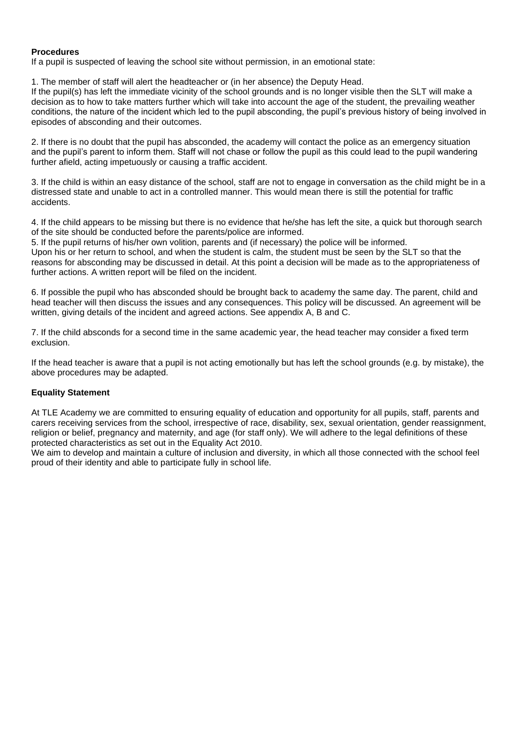# **Procedures**

If a pupil is suspected of leaving the school site without permission, in an emotional state:

1. The member of staff will alert the headteacher or (in her absence) the Deputy Head.

If the pupil(s) has left the immediate vicinity of the school grounds and is no longer visible then the SLT will make a decision as to how to take matters further which will take into account the age of the student, the prevailing weather conditions, the nature of the incident which led to the pupil absconding, the pupil's previous history of being involved in episodes of absconding and their outcomes.

2. If there is no doubt that the pupil has absconded, the academy will contact the police as an emergency situation and the pupil's parent to inform them. Staff will not chase or follow the pupil as this could lead to the pupil wandering further afield, acting impetuously or causing a traffic accident.

3. If the child is within an easy distance of the school, staff are not to engage in conversation as the child might be in a distressed state and unable to act in a controlled manner. This would mean there is still the potential for traffic accidents.

4. If the child appears to be missing but there is no evidence that he/she has left the site, a quick but thorough search of the site should be conducted before the parents/police are informed.

5. If the pupil returns of his/her own volition, parents and (if necessary) the police will be informed.

Upon his or her return to school, and when the student is calm, the student must be seen by the SLT so that the reasons for absconding may be discussed in detail. At this point a decision will be made as to the appropriateness of further actions. A written report will be filed on the incident.

6. If possible the pupil who has absconded should be brought back to academy the same day. The parent, child and head teacher will then discuss the issues and any consequences. This policy will be discussed. An agreement will be written, giving details of the incident and agreed actions. See appendix A, B and C.

7. If the child absconds for a second time in the same academic year, the head teacher may consider a fixed term exclusion.

If the head teacher is aware that a pupil is not acting emotionally but has left the school grounds (e.g. by mistake), the above procedures may be adapted.

# **Equality Statement**

At TLE Academy we are committed to ensuring equality of education and opportunity for all pupils, staff, parents and carers receiving services from the school, irrespective of race, disability, sex, sexual orientation, gender reassignment, religion or belief, pregnancy and maternity, and age (for staff only). We will adhere to the legal definitions of these protected characteristics as set out in the Equality Act 2010.

We aim to develop and maintain a culture of inclusion and diversity, in which all those connected with the school feel proud of their identity and able to participate fully in school life.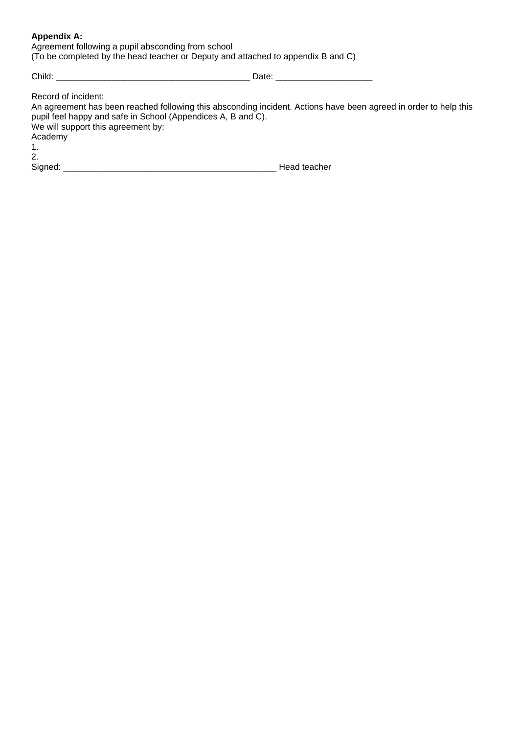# **Appendix A:**

| Agreement following a pupil absconding from school                               |  |  |  |  |  |
|----------------------------------------------------------------------------------|--|--|--|--|--|
| (To be completed by the head teacher or Deputy and attached to appendix B and C) |  |  |  |  |  |

Child: \_\_\_\_\_\_\_\_\_\_\_\_\_\_\_\_\_\_\_\_\_\_\_\_\_\_\_\_\_\_\_\_\_\_\_\_\_\_\_\_ Date: \_\_\_\_\_\_\_\_\_\_\_\_\_\_\_\_\_\_\_\_

| Record of incident:                                                                                              |              |
|------------------------------------------------------------------------------------------------------------------|--------------|
| An agreement has been reached following this absconding incident. Actions have been agreed in order to help this |              |
| pupil feel happy and safe in School (Appendices A, B and C).                                                     |              |
| We will support this agreement by:                                                                               |              |
| Academy                                                                                                          |              |
| 1.                                                                                                               |              |
| 2.                                                                                                               |              |
| Signed:                                                                                                          | Head teacher |
|                                                                                                                  |              |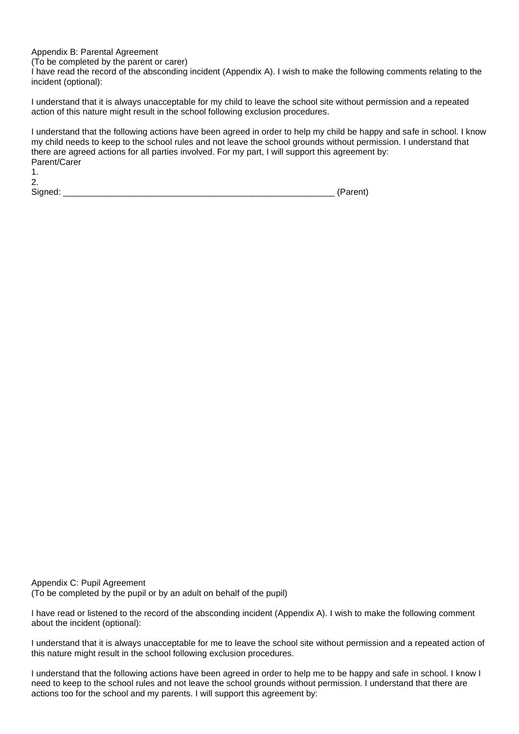## Appendix B: Parental Agreement

(To be completed by the parent or carer)

I have read the record of the absconding incident (Appendix A). I wish to make the following comments relating to the incident (optional):

I understand that it is always unacceptable for my child to leave the school site without permission and a repeated action of this nature might result in the school following exclusion procedures.

I understand that the following actions have been agreed in order to help my child be happy and safe in school. I know my child needs to keep to the school rules and not leave the school grounds without permission. I understand that there are agreed actions for all parties involved. For my part, I will support this agreement by: Parent/Carer 1.

| I<br>ł<br>I<br>I<br>٠ |  |
|-----------------------|--|
|                       |  |

Signed: \_\_\_\_\_\_\_\_\_\_\_\_\_\_\_\_\_\_\_\_\_\_\_\_\_\_\_\_\_\_\_\_\_\_\_\_\_\_\_\_\_\_\_\_\_\_\_\_\_\_\_\_\_\_\_\_ (Parent)

Appendix C: Pupil Agreement (To be completed by the pupil or by an adult on behalf of the pupil)

I have read or listened to the record of the absconding incident (Appendix A). I wish to make the following comment about the incident (optional):

I understand that it is always unacceptable for me to leave the school site without permission and a repeated action of this nature might result in the school following exclusion procedures.

I understand that the following actions have been agreed in order to help me to be happy and safe in school. I know I need to keep to the school rules and not leave the school grounds without permission. I understand that there are actions too for the school and my parents. I will support this agreement by: